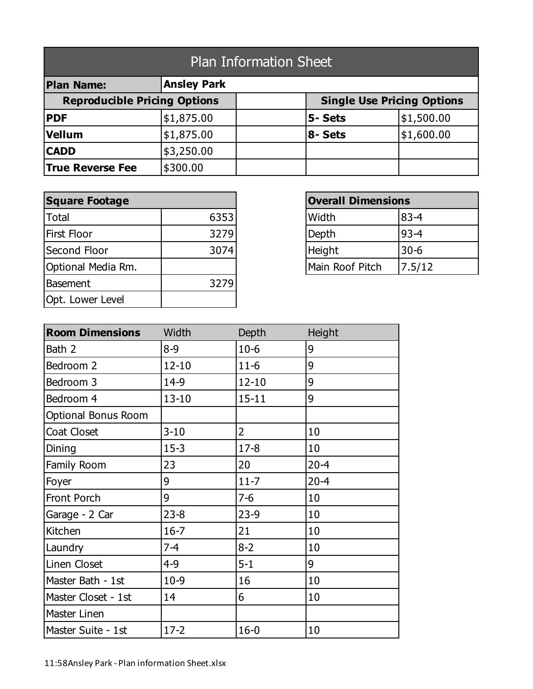| <b>Plan Information Sheet</b>       |                    |  |                                   |            |  |
|-------------------------------------|--------------------|--|-----------------------------------|------------|--|
| <b>Plan Name:</b>                   | <b>Ansley Park</b> |  |                                   |            |  |
| <b>Reproducible Pricing Options</b> |                    |  | <b>Single Use Pricing Options</b> |            |  |
| <b>PDF</b>                          | \$1,875.00         |  | 5- Sets                           | \$1,500.00 |  |
| Vellum                              | \$1,875.00         |  | 8- Sets                           | \$1,600.00 |  |
| <b>CADD</b>                         | \$3,250.00         |  |                                   |            |  |
| <b>True Reverse Fee</b>             | \$300.00           |  |                                   |            |  |

| <b>Square Footage</b> |      | <b>Overall Dimensions</b> |          |
|-----------------------|------|---------------------------|----------|
| <b>Total</b>          | 6353 | Width                     | $83 - 4$ |
| <b>First Floor</b>    | 3279 | Depth                     | $93 - 4$ |
| Second Floor          | 3074 | Height                    | $30 - 6$ |
| Optional Media Rm.    |      | Main Roof Pitch           | 7.5/12   |
| <b>Basement</b>       | 3279 |                           |          |
| Opt. Lower Level      |      |                           |          |

| <b>Overall Dimensions</b> |          |  |
|---------------------------|----------|--|
| Width                     | $83 - 4$ |  |
| Depth                     | $93 - 4$ |  |
| Height                    | $30 - 6$ |  |
| Main Roof Pitch           | 7.5/12   |  |

| <b>Room Dimensions</b>     | Width     | Depth          | Height   |
|----------------------------|-----------|----------------|----------|
| Bath 2                     | $8 - 9$   | $10-6$         | 9        |
| Bedroom 2                  | $12 - 10$ | $11-6$         | 9        |
| Bedroom 3                  | 14-9      | $12 - 10$      | 9        |
| Bedroom 4                  | $13 - 10$ | $15 - 11$      | 9        |
| <b>Optional Bonus Room</b> |           |                |          |
| Coat Closet                | $3 - 10$  | $\overline{2}$ | 10       |
| Dining                     | $15 - 3$  | $17 - 8$       | 10       |
| Family Room                | 23        | 20             | $20 - 4$ |
| Foyer                      | 9         | $11 - 7$       | $20 - 4$ |
| Front Porch                | 9         | $7 - 6$        | 10       |
| Garage - 2 Car             | $23 - 8$  | $23-9$         | 10       |
| Kitchen                    | $16 - 7$  | 21             | 10       |
| Laundry                    | $7 - 4$   | $8 - 2$        | 10       |
| Linen Closet               | $4 - 9$   | $5 - 1$        | 9        |
| Master Bath - 1st          | $10-9$    | 16             | 10       |
| Master Closet - 1st        | 14        | 6              | 10       |
| Master Linen               |           |                |          |
| Master Suite - 1st         | $17 - 2$  | $16 - 0$       | 10       |